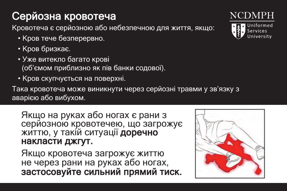## Серйозна кровотеча

Кровотеча є серйозною або небезпечною для життя, якщо:

- Кров тече безперервно.
- Кров бризкає.
- Уже витекло багато крові
- *•* же витекло оагато крові<br>(об'ємом приблизно як пів банки содової).
- Соримани призвание за нашерени содере.<br>• Кров скупчується на поверхні.

така кровотеча може виникнути через серйозні травми у зв'язку з волостеча може виникнути через серйозні травми у зв'язку з аварією або вибухом. В отримання становить становить до най-

## лкщо на руках або ногах с рани з<br>серйозною кровотечею, що загрожує on i romano<br>or legis de arm сериозною кровотечею, що загр<br>життю, у такій ситуації **доречно**<br>накласти лжгут Якщо на руках або ногах є рани з накласти джгут. o, у такій ситуації **доречно**<br>асти лжгут

Якщо кровотеча загрожує життю  $\frac{1}{2}$  on the arms of  $\frac{1}{2}$  on  $\frac{1}{2}$  on  $\frac{1}{2}$  on  $\frac{1}{2}$  on  $\frac{1}{2}$  on  $\frac{1}{2}$  on  $\frac{1}{2}$  on  $\frac{1}{2}$  on  $\frac{1}{2}$  on  $\frac{1}{2}$  on  $\frac{1}{2}$  on  $\frac{1}{2}$  on  $\frac{1}{2}$  on  $\frac{1}{2}$  on  $\frac{1}{2}$  on **then apply firm, direct pressure.** застосовуйте сильний прямий тиск. не через рани на руках або ногах, тиск. not on the arms or lead.<br>Note that we have a роз рани на руках аво ногах,<br>ісовуйте сильний прямий тисі